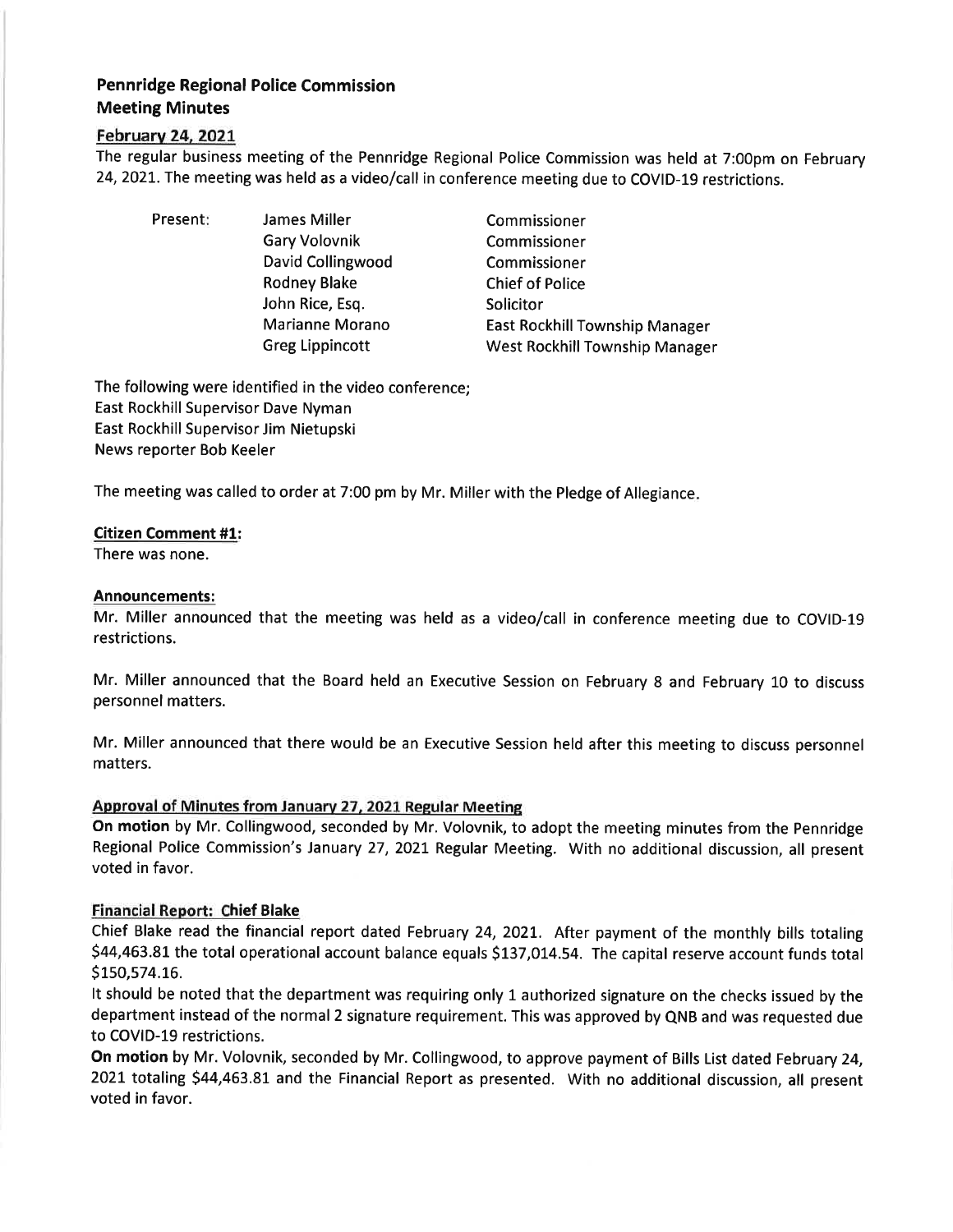# Pennridge Regional Police Commission Meeting Minutes

## Februarv 24,202L

The regular business meeting of the Pennridge Regional Police Commission was held at 7:00pm on February 24,2021. The meeting was held as a video/call in conference meeting due to COVID-L9 restrictions.

Present: James Miller Gary Volovnik David Collingwood Rodney Blake John Rice, Esq. Marianne Morano Greg Lippincott

Commissioner Commissioner Commissioner Chief of Police Solicitor East Rockhill Township Manager West Rockhill Township Manager

The following were identified in the video conference; East Rockhill Supervisor Dave Nyman East Rockhill Supervisor Jim Nietupski News reporter Bob Keeler

The meeting was called to order at 7:00 pm by Mr. Miller with the Pledge of Allegiance

## Citizen Comment #1:

There was none.

#### Announcements:

Mr. Miller announced that the meeting was held as a video/call in conference meeting due to COVID-Lg restrictions.

Mr. Miller announced that the Board held an Executive Session on February 8 and February 10 to discuss personnel matters.

Mr. Miller announced that there would be an Executive Session held after this meeting to discuss personnel matters.

## Approval of Minutes from Januarv 27, 2021 Regular Meeting

On motion by Mr. Collingwood, seconded by Mr. Volovnik, to adopt the meeting minutes from the Pennridge Regional Police Commission's January 27, 2021 Regular Meeting. With no additional discussion, all present voted in favor.

## Ennancial Report: Chief Blake

Chief Blake read the financial report dated February 24, 2O2L. After payment of the monthly bills totaling \$44,463.81 the total operational account balance equals \$137,014.54. The capital reserve account funds total S150,574.16.

It should be noted that the department was requiring only 1 authorized signature on the checks issued by the department instead of the normal 2 signature requirement. This was approved by QNB and was requested due to COVID-19 restrictions.

On motion by Mr. Volovnik, seconded by Mr. Collingwood, to approve payment of Bills List dated February 24, 2021 totaling \$44,463.81 and the Financial Report as presented. With no additional discussion, all present voted in favor.